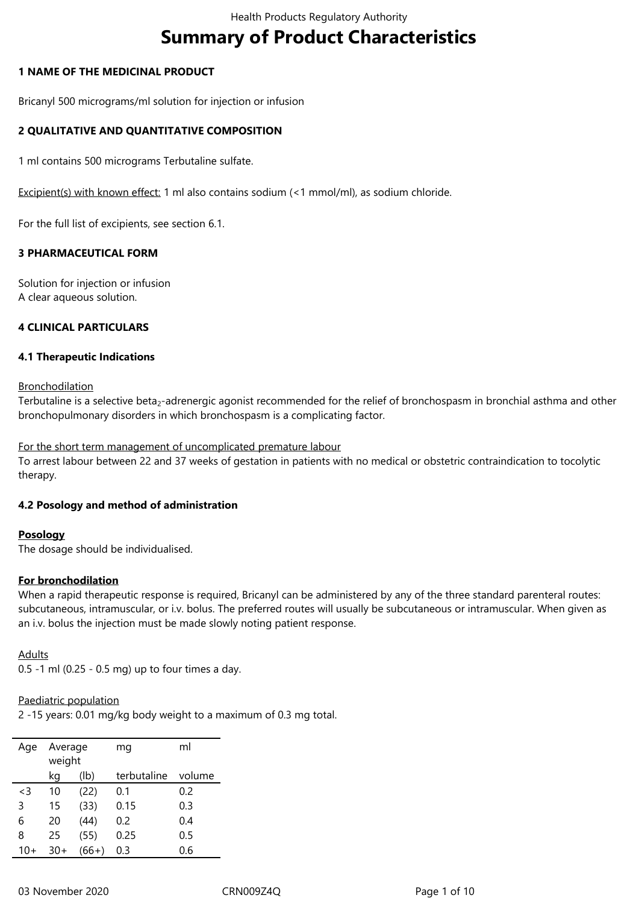# **Summary of Product Characteristics**

# **1 NAME OF THE MEDICINAL PRODUCT**

Bricanyl 500 micrograms/ml solution for injection or infusion

# **2 QUALITATIVE AND QUANTITATIVE COMPOSITION**

1 ml contains 500 micrograms Terbutaline sulfate.

Excipient(s) with known effect: 1 ml also contains sodium (<1 mmol/ml), as sodium chloride.

For the full list of excipients, see section 6.1.

# **3 PHARMACEUTICAL FORM**

Solution for injection or infusion A clear aqueous solution.

# **4 CLINICAL PARTICULARS**

# **4.1 Therapeutic Indications**

# Bronchodilation

Terbutaline is a selective beta<sub>2</sub>-adrenergic agonist recommended for the relief of bronchospasm in bronchial asthma and other bronchopulmonary disorders in which bronchospasm is a complicating factor.

#### For the short term management of uncomplicated premature labour

To arrest labour between 22 and 37 weeks of gestation in patients with no medical or obstetric contraindication to tocolytic therapy.

# **4.2 Posology and method of administration**

# **Posology**

The dosage should be individualised.

# **For bronchodilation**

When a rapid therapeutic response is required, Bricanyl can be administered by any of the three standard parenteral routes: subcutaneous, intramuscular, or i.v. bolus. The preferred routes will usually be subcutaneous or intramuscular. When given as an i.v. bolus the injection must be made slowly noting patient response.

# Adults

0.5 -1 ml (0.25 - 0.5 mg) up to four times a day.

# Paediatric population

2 -15 years: 0.01 mg/kg body weight to a maximum of 0.3 mg total.

| Age      | Average<br>weight |         | mg          | ml     |
|----------|-------------------|---------|-------------|--------|
|          | kg                | (lb)    | terbutaline | volume |
| $\leq$ 3 | 10                | (22)    | 0.1         | 0.2    |
| 3        | 15                | (33)    | 0.15        | 0.3    |
| 6        | 20                | (44)    | 0.2         | 0.4    |
| 8        | 25                | (55)    | 0.25        | 0.5    |
|          | 30+               | $(66+)$ | 03          | 0.6    |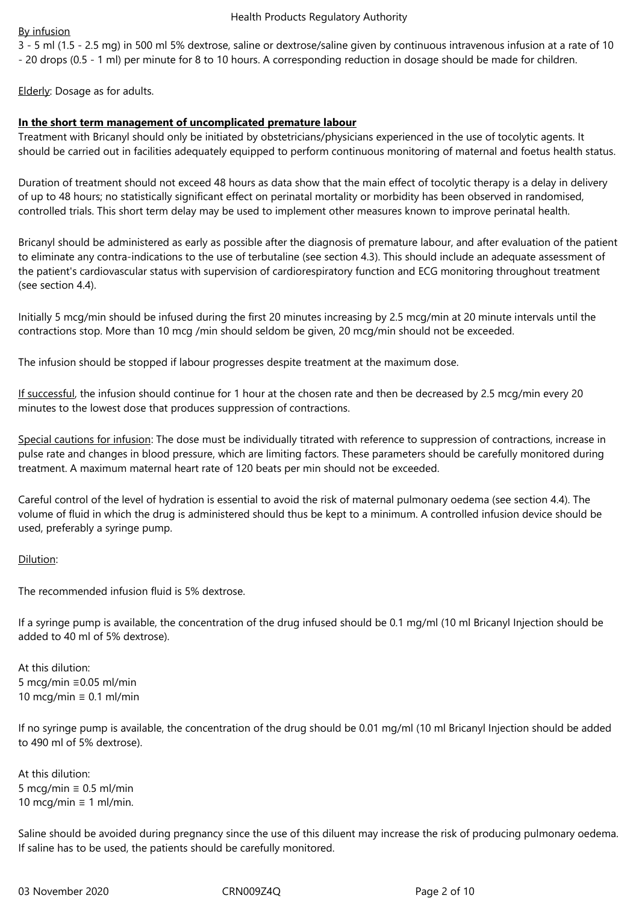# By infusion

3 - 5 ml (1.5 - 2.5 mg) in 500 ml 5% dextrose, saline or dextrose/saline given by continuous intravenous infusion at a rate of 10 - 20 drops (0.5 - 1 ml) per minute for 8 to 10 hours. A corresponding reduction in dosage should be made for children.

Elderly: Dosage as for adults.

# **In the short term management of uncomplicated premature labour**

Treatment with Bricanyl should only be initiated by obstetricians/physicians experienced in the use of tocolytic agents. It should be carried out in facilities adequately equipped to perform continuous monitoring of maternal and foetus health status.

Duration of treatment should not exceed 48 hours as data show that the main effect of tocolytic therapy is a delay in delivery of up to 48 hours; no statistically significant effect on perinatal mortality or morbidity has been observed in randomised, controlled trials. This short term delay may be used to implement other measures known to improve perinatal health.

Bricanyl should be administered as early as possible after the diagnosis of premature labour, and after evaluation of the patient to eliminate any contra-indications to the use of terbutaline (see section 4.3). This should include an adequate assessment of the patient's cardiovascular status with supervision of cardiorespiratory function and ECG monitoring throughout treatment (see section 4.4).

Initially 5 mcg/min should be infused during the first 20 minutes increasing by 2.5 mcg/min at 20 minute intervals until the contractions stop. More than 10 mcg /min should seldom be given, 20 mcg/min should not be exceeded.

The infusion should be stopped if labour progresses despite treatment at the maximum dose.

If successful, the infusion should continue for 1 hour at the chosen rate and then be decreased by 2.5 mcg/min every 20 minutes to the lowest dose that produces suppression of contractions.

Special cautions for infusion: The dose must be individually titrated with reference to suppression of contractions, increase in pulse rate and changes in blood pressure, which are limiting factors. These parameters should be carefully monitored during treatment. A maximum maternal heart rate of 120 beats per min should not be exceeded.

Careful control of the level of hydration is essential to avoid the risk of maternal pulmonary oedema (see section 4.4). The volume of fluid in which the drug is administered should thus be kept to a minimum. A controlled infusion device should be used, preferably a syringe pump.

# Dilution:

The recommended infusion fluid is 5% dextrose.

If a syringe pump is available, the concentration of the drug infused should be 0.1 mg/ml (10 ml Bricanyl Injection should be added to 40 ml of 5% dextrose).

At this dilution: 5 mcg/min ≡0.05 ml/min 10 mcg/min ≡ 0.1 ml/min

If no syringe pump is available, the concentration of the drug should be 0.01 mg/ml (10 ml Bricanyl Injection should be added to 490 ml of 5% dextrose).

At this dilution: 5 mcg/min ≡ 0.5 ml/min 10 mcg/min  $\equiv$  1 ml/min.

Saline should be avoided during pregnancy since the use of this diluent may increase the risk of producing pulmonary oedema. If saline has to be used, the patients should be carefully monitored.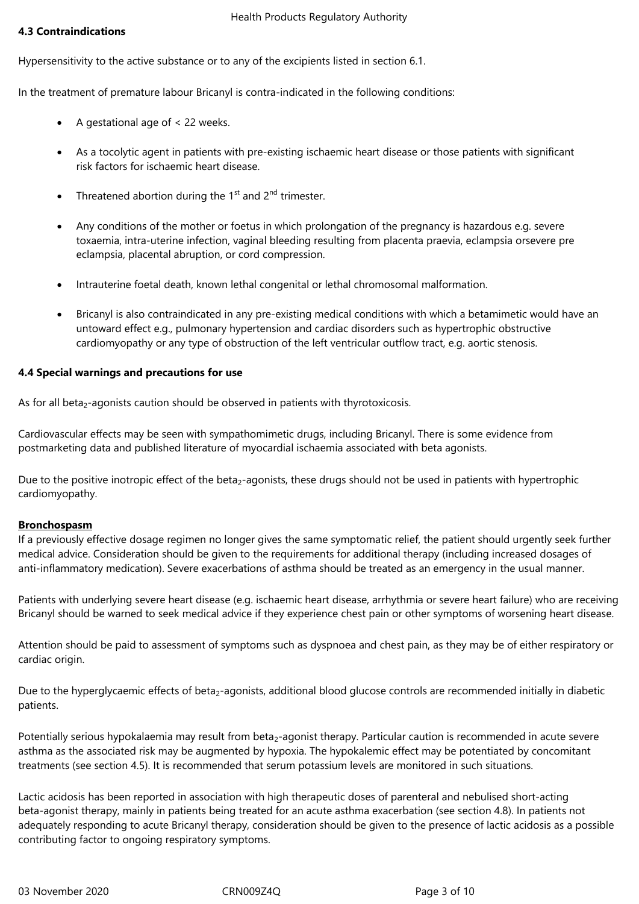# **4.3 Contraindications**

Hypersensitivity to the active substance or to any of the excipients listed in section 6.1.

In the treatment of premature labour Bricanyl is contra-indicated in the following conditions:

- A gestational age of < 22 weeks.
- As a tocolytic agent in patients with pre-existing ischaemic heart disease or those patients with significant risk factors for ischaemic heart disease.
- Threatened abortion during the  $1<sup>st</sup>$  and  $2<sup>nd</sup>$  trimester.
- Any conditions of the mother or foetus in which prolongation of the pregnancy is hazardous e.g. severe toxaemia, intra-uterine infection, vaginal bleeding resulting from placenta praevia, eclampsia orsevere pre eclampsia, placental abruption, or cord compression.
- Intrauterine foetal death, known lethal congenital or lethal chromosomal malformation.
- Bricanyl is also contraindicated in any pre-existing medical conditions with which a betamimetic would have an untoward effect e.g., pulmonary hypertension and cardiac disorders such as hypertrophic obstructive cardiomyopathy or any type of obstruction of the left ventricular outflow tract, e.g. aortic stenosis.

# **4.4 Special warnings and precautions for use**

As for all beta $<sub>2</sub>$ -agonists caution should be observed in patients with thyrotoxicosis.</sub>

Cardiovascular effects may be seen with sympathomimetic drugs, including Bricanyl. There is some evidence from postmarketing data and published literature of myocardial ischaemia associated with beta agonists.

Due to the positive inotropic effect of the beta<sub>2</sub>-agonists, these drugs should not be used in patients with hypertrophic cardiomyopathy.

# **Bronchospasm**

If a previously effective dosage regimen no longer gives the same symptomatic relief, the patient should urgently seek further medical advice. Consideration should be given to the requirements for additional therapy (including increased dosages of anti-inflammatory medication). Severe exacerbations of asthma should be treated as an emergency in the usual manner.

Patients with underlying severe heart disease (e.g. ischaemic heart disease, arrhythmia or severe heart failure) who are receiving Bricanyl should be warned to seek medical advice if they experience chest pain or other symptoms of worsening heart disease.

Attention should be paid to assessment of symptoms such as dyspnoea and chest pain, as they may be of either respiratory or cardiac origin.

Due to the hyperglycaemic effects of beta<sub>2</sub>-agonists, additional blood glucose controls are recommended initially in diabetic patients.

Potentially serious hypokalaemia may result from beta<sub>2</sub>-agonist therapy. Particular caution is recommended in acute severe asthma as the associated risk may be augmented by hypoxia. The hypokalemic effect may be potentiated by concomitant treatments (see section 4.5). It is recommended that serum potassium levels are monitored in such situations.

Lactic acidosis has been reported in association with high therapeutic doses of parenteral and nebulised short-acting beta-agonist therapy, mainly in patients being treated for an acute asthma exacerbation (see section 4.8). In patients not adequately responding to acute Bricanyl therapy, consideration should be given to the presence of lactic acidosis as a possible contributing factor to ongoing respiratory symptoms.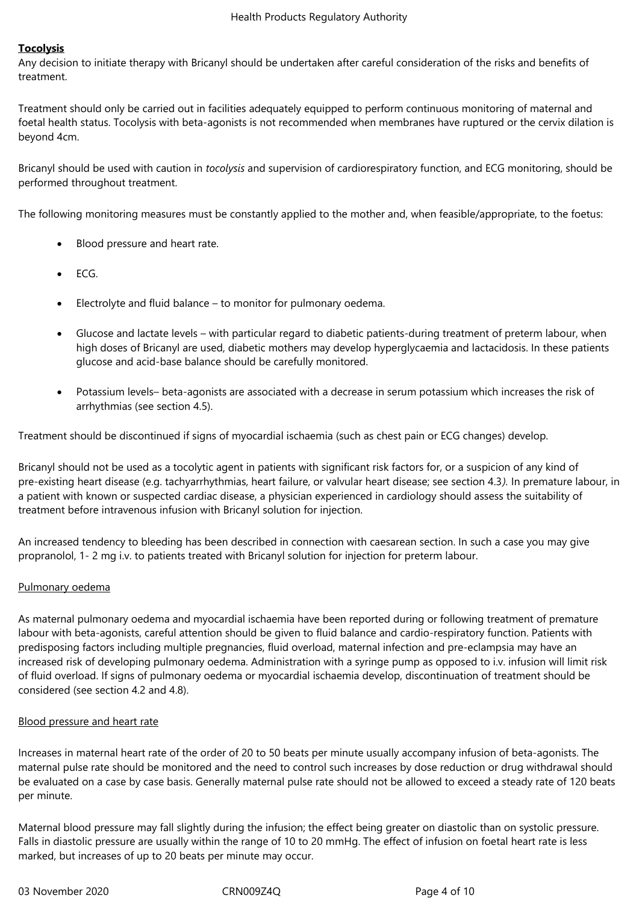# **Tocolysis**

Any decision to initiate therapy with Bricanyl should be undertaken after careful consideration of the risks and benefits of treatment.

Treatment should only be carried out in facilities adequately equipped to perform continuous monitoring of maternal and foetal health status. Tocolysis with beta-agonists is not recommended when membranes have ruptured or the cervix dilation is beyond 4cm.

Bricanyl should be used with caution in *tocolysis* and supervision of cardiorespiratory function, and ECG monitoring, should be performed throughout treatment.

The following monitoring measures must be constantly applied to the mother and, when feasible/appropriate, to the foetus:

- Blood pressure and heart rate.
- ECG.
- Electrolyte and fluid balance to monitor for pulmonary oedema.
- Glucose and lactate levels with particular regard to diabetic patients-during treatment of preterm labour, when high doses of Bricanyl are used, diabetic mothers may develop hyperglycaemia and lactacidosis. In these patients glucose and acid-base balance should be carefully monitored.
- Potassium levels– beta-agonists are associated with a decrease in serum potassium which increases the risk of arrhythmias (see section 4.5).

Treatment should be discontinued if signs of myocardial ischaemia (such as chest pain or ECG changes) develop.

Bricanyl should not be used as a tocolytic agent in patients with significant risk factors for, or a suspicion of any kind of pre-existing heart disease (e.g. tachyarrhythmias, heart failure, or valvular heart disease; see section 4.3*).* In premature labour, in a patient with known or suspected cardiac disease, a physician experienced in cardiology should assess the suitability of treatment before intravenous infusion with Bricanyl solution for injection.

An increased tendency to bleeding has been described in connection with caesarean section. In such a case you may give propranolol, 1- 2 mg i.v. to patients treated with Bricanyl solution for injection for preterm labour.

# Pulmonary oedema

As maternal pulmonary oedema and myocardial ischaemia have been reported during or following treatment of premature labour with beta-agonists, careful attention should be given to fluid balance and cardio-respiratory function. Patients with predisposing factors including multiple pregnancies, fluid overload, maternal infection and pre-eclampsia may have an increased risk of developing pulmonary oedema. Administration with a syringe pump as opposed to i.v. infusion will limit risk of fluid overload. If signs of pulmonary oedema or myocardial ischaemia develop, discontinuation of treatment should be considered (see section 4.2 and 4.8).

# Blood pressure and heart rate

Increases in maternal heart rate of the order of 20 to 50 beats per minute usually accompany infusion of beta-agonists. The maternal pulse rate should be monitored and the need to control such increases by dose reduction or drug withdrawal should be evaluated on a case by case basis. Generally maternal pulse rate should not be allowed to exceed a steady rate of 120 beats per minute.

Maternal blood pressure may fall slightly during the infusion; the effect being greater on diastolic than on systolic pressure. Falls in diastolic pressure are usually within the range of 10 to 20 mmHg. The effect of infusion on foetal heart rate is less marked, but increases of up to 20 beats per minute may occur.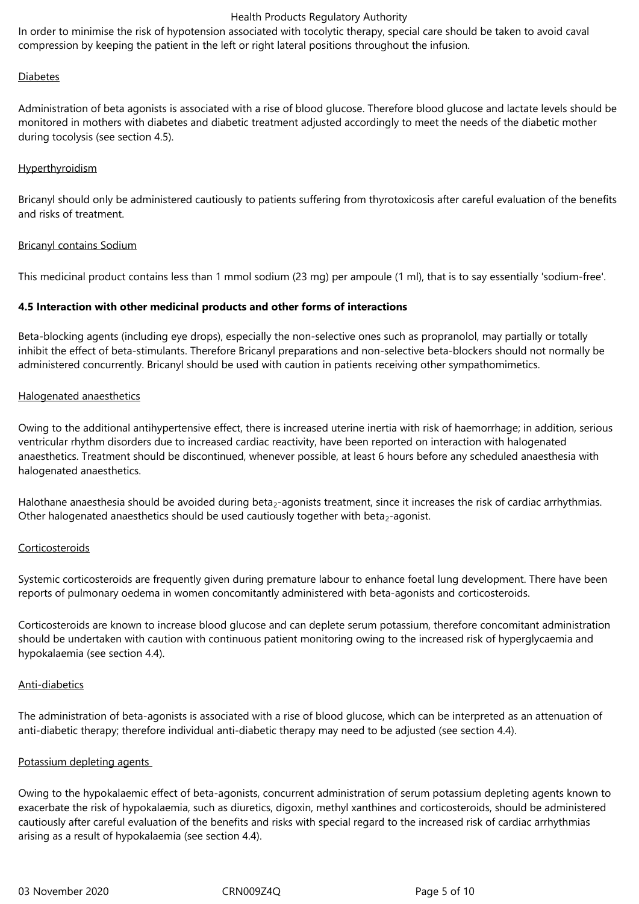#### Health Products Regulatory Authority

In order to minimise the risk of hypotension associated with tocolytic therapy, special care should be taken to avoid caval compression by keeping the patient in the left or right lateral positions throughout the infusion.

# Diabetes

Administration of beta agonists is associated with a rise of blood glucose. Therefore blood glucose and lactate levels should be monitored in mothers with diabetes and diabetic treatment adjusted accordingly to meet the needs of the diabetic mother during tocolysis (see section 4.5).

# **Hyperthyroidism**

Bricanyl should only be administered cautiously to patients suffering from thyrotoxicosis after careful evaluation of the benefits and risks of treatment.

# Bricanyl contains Sodium

This medicinal product contains less than 1 mmol sodium (23 mg) per ampoule (1 ml), that is to say essentially 'sodium-free'.

# **4.5 Interaction with other medicinal products and other forms of interactions**

Beta-blocking agents (including eye drops), especially the non-selective ones such as propranolol, may partially or totally inhibit the effect of beta-stimulants. Therefore Bricanyl preparations and non-selective beta-blockers should not normally be administered concurrently. Bricanyl should be used with caution in patients receiving other sympathomimetics.

# Halogenated anaesthetics

Owing to the additional antihypertensive effect, there is increased uterine inertia with risk of haemorrhage; in addition, serious ventricular rhythm disorders due to increased cardiac reactivity, have been reported on interaction with halogenated anaesthetics. Treatment should be discontinued, whenever possible, at least 6 hours before any scheduled anaesthesia with halogenated anaesthetics.

Halothane anaesthesia should be avoided during beta<sub>2</sub>-agonists treatment, since it increases the risk of cardiac arrhythmias. Other halogenated anaesthetics should be used cautiously together with beta<sub>2</sub>-agonist.

# **Corticosteroids**

Systemic corticosteroids are frequently given during premature labour to enhance foetal lung development. There have been reports of pulmonary oedema in women concomitantly administered with beta-agonists and corticosteroids.

Corticosteroids are known to increase blood glucose and can deplete serum potassium, therefore concomitant administration should be undertaken with caution with continuous patient monitoring owing to the increased risk of hyperglycaemia and hypokalaemia (see section 4.4).

# Anti-diabetics

The administration of beta-agonists is associated with a rise of blood glucose, which can be interpreted as an attenuation of anti-diabetic therapy; therefore individual anti-diabetic therapy may need to be adjusted (see section 4.4).

# Potassium depleting agents

Owing to the hypokalaemic effect of beta-agonists, concurrent administration of serum potassium depleting agents known to exacerbate the risk of hypokalaemia, such as diuretics, digoxin, methyl xanthines and corticosteroids, should be administered cautiously after careful evaluation of the benefits and risks with special regard to the increased risk of cardiac arrhythmias arising as a result of hypokalaemia (see section 4.4).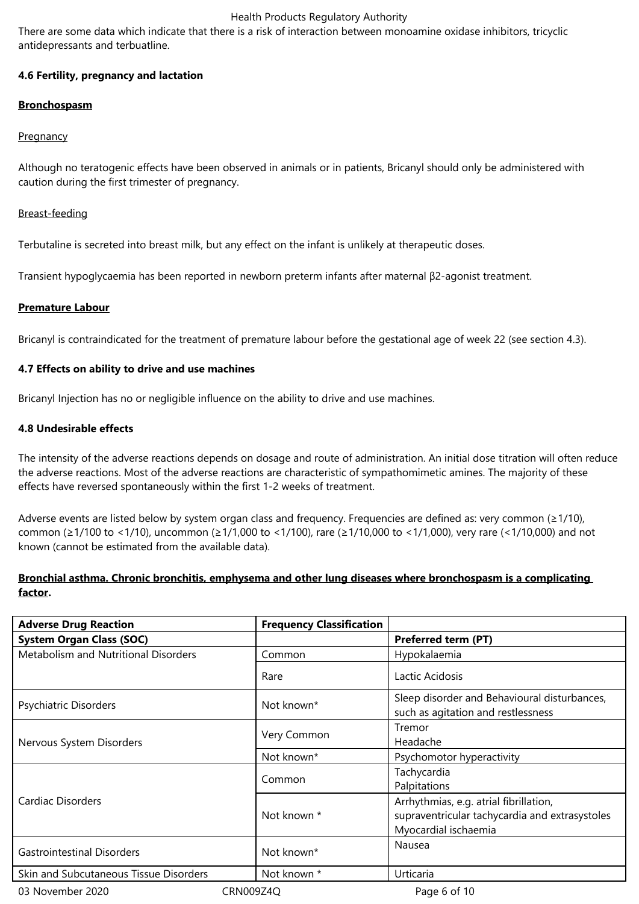# Health Products Regulatory Authority

There are some data which indicate that there is a risk of interaction between monoamine oxidase inhibitors, tricyclic antidepressants and terbuatline.

# **4.6 Fertility, pregnancy and lactation**

# **Bronchospasm**

# **Pregnancy**

Although no teratogenic effects have been observed in animals or in patients, Bricanyl should only be administered with caution during the first trimester of pregnancy.

# Breast-feeding

Terbutaline is secreted into breast milk, but any effect on the infant is unlikely at therapeutic doses.

Transient hypoglycaemia has been reported in newborn preterm infants after maternal β2-agonist treatment.

# **Premature Labour**

Bricanyl is contraindicated for the treatment of premature labour before the gestational age of week 22 (see section 4.3).

# **4.7 Effects on ability to drive and use machines**

Bricanyl Injection has no or negligible influence on the ability to drive and use machines.

# **4.8 Undesirable effects**

The intensity of the adverse reactions depends on dosage and route of administration. An initial dose titration will often reduce the adverse reactions. Most of the adverse reactions are characteristic of sympathomimetic amines. The majority of these effects have reversed spontaneously within the first 1-2 weeks of treatment.

Adverse events are listed below by system organ class and frequency. Frequencies are defined as: very common (≥1/10), common (≥1/100 to <1/10), uncommon (≥1/1,000 to <1/100), rare (≥1/10,000 to <1/1,000), very rare (<1/10,000) and not known (cannot be estimated from the available data).

# **Bronchial asthma. Chronic bronchitis, emphysema and other lung diseases where bronchospasm is a complicating factor.**

| <b>Adverse Drug Reaction</b>           | <b>Frequency Classification</b> |                                                                                                                  |
|----------------------------------------|---------------------------------|------------------------------------------------------------------------------------------------------------------|
| <b>System Organ Class (SOC)</b>        |                                 | Preferred term (PT)                                                                                              |
| Metabolism and Nutritional Disorders   | Common                          | Hypokalaemia                                                                                                     |
|                                        | Rare                            | Lactic Acidosis                                                                                                  |
| Psychiatric Disorders                  | Not known*                      | Sleep disorder and Behavioural disturbances,<br>such as agitation and restlessness                               |
| Nervous System Disorders               | Very Common                     | Tremor<br>Headache                                                                                               |
|                                        | Not known*                      | Psychomotor hyperactivity                                                                                        |
|                                        | Common                          | Tachycardia<br>Palpitations                                                                                      |
| Cardiac Disorders                      | Not known *                     | Arrhythmias, e.g. atrial fibrillation,<br>supraventricular tachycardia and extrasystoles<br>Myocardial ischaemia |
| <b>Gastrointestinal Disorders</b>      | Not known*                      | Nausea                                                                                                           |
| Skin and Subcutaneous Tissue Disorders | Not known *                     | Urticaria                                                                                                        |
| 03 November 2020                       | CRN009Z4Q                       | Page 6 of 10                                                                                                     |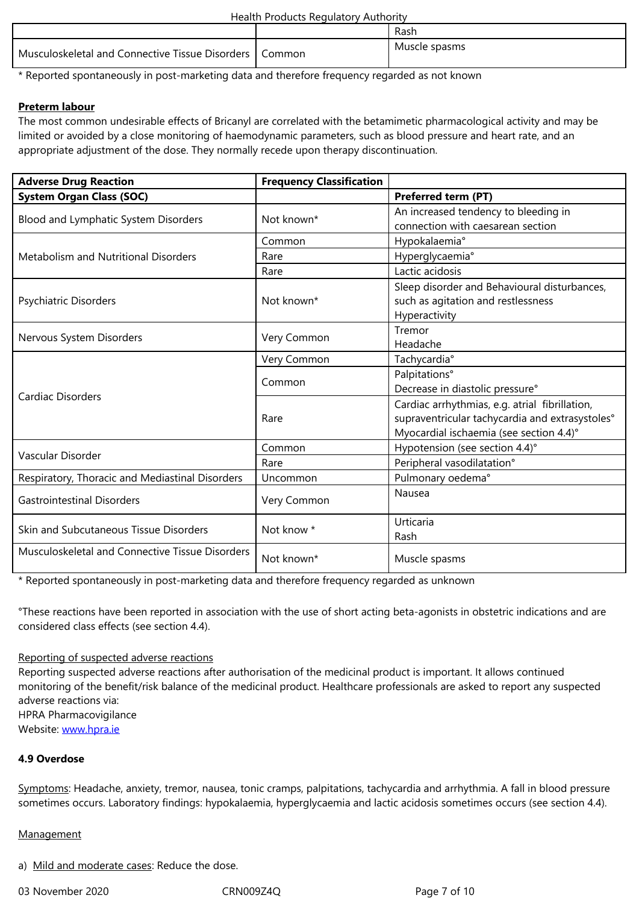| isorders<br>ுக<br>Connective<br>wwst<br>1550e<br>cuioskeietam<br>anu | COMMON |  |
|----------------------------------------------------------------------|--------|--|
|                                                                      |        |  |

\* Reported spontaneously in post-marketing data and therefore frequency regarded as not known

#### **Preterm labour**

The most common undesirable effects of Bricanyl are correlated with the betamimetic pharmacological activity and may be limited or avoided by a close monitoring of haemodynamic parameters, such as blood pressure and heart rate, and an appropriate adjustment of the dose. They normally recede upon therapy discontinuation.

| <b>Adverse Drug Reaction</b>                    | <b>Frequency Classification</b> |                                                                                                                                              |
|-------------------------------------------------|---------------------------------|----------------------------------------------------------------------------------------------------------------------------------------------|
| <b>System Organ Class (SOC)</b>                 |                                 | Preferred term (PT)                                                                                                                          |
| Blood and Lymphatic System Disorders            | Not known*                      | An increased tendency to bleeding in<br>connection with caesarean section                                                                    |
|                                                 | Common                          | Hypokalaemia°                                                                                                                                |
| Metabolism and Nutritional Disorders            | Rare                            | Hyperglycaemia°                                                                                                                              |
|                                                 | Rare                            | Lactic acidosis                                                                                                                              |
| Psychiatric Disorders                           | Not known*                      | Sleep disorder and Behavioural disturbances,<br>such as agitation and restlessness<br>Hyperactivity                                          |
| Nervous System Disorders                        | Very Common                     | Tremor<br>Headache                                                                                                                           |
|                                                 | Very Common                     | Tachycardia°                                                                                                                                 |
|                                                 | Common                          | Palpitations°<br>Decrease in diastolic pressure°                                                                                             |
| Cardiac Disorders                               | Rare                            | Cardiac arrhythmias, e.g. atrial fibrillation,<br>supraventricular tachycardia and extrasystoles°<br>Myocardial ischaemia (see section 4.4)° |
|                                                 | Common                          | Hypotension (see section 4.4)°                                                                                                               |
| Vascular Disorder                               | Rare                            | Peripheral vasodilatation°                                                                                                                   |
| Respiratory, Thoracic and Mediastinal Disorders | Uncommon                        | Pulmonary oedema°                                                                                                                            |
| <b>Gastrointestinal Disorders</b>               | Very Common                     | Nausea                                                                                                                                       |
| Skin and Subcutaneous Tissue Disorders          | Not know *                      | Urticaria<br>Rash                                                                                                                            |
| Musculoskeletal and Connective Tissue Disorders | Not known*                      | Muscle spasms                                                                                                                                |

\* Reported spontaneously in post-marketing data and therefore frequency regarded as unknown

°These reactions have been reported in association with the use of short acting beta-agonists in obstetric indications and are considered class effects (see section 4.4).

# Reporting of suspected adverse reactions

Reporting suspected adverse reactions after authorisation of the medicinal product is important. It allows continued monitoring of the benefit/risk balance of the medicinal product. Healthcare professionals are asked to report any suspected adverse reactions via: HPRA Pharmacovigilance

Website: www.hpra.ie

# **4.9 Overdose**

Symptoms[: Headache](http://www.hpra.ie/), anxiety, tremor, nausea, tonic cramps, palpitations, tachycardia and arrhythmia. A fall in blood pressure sometimes occurs. Laboratory findings: hypokalaemia, hyperglycaemia and lactic acidosis sometimes occurs (see section 4.4).

#### **Management**

a) Mild and moderate cases: Reduce the dose.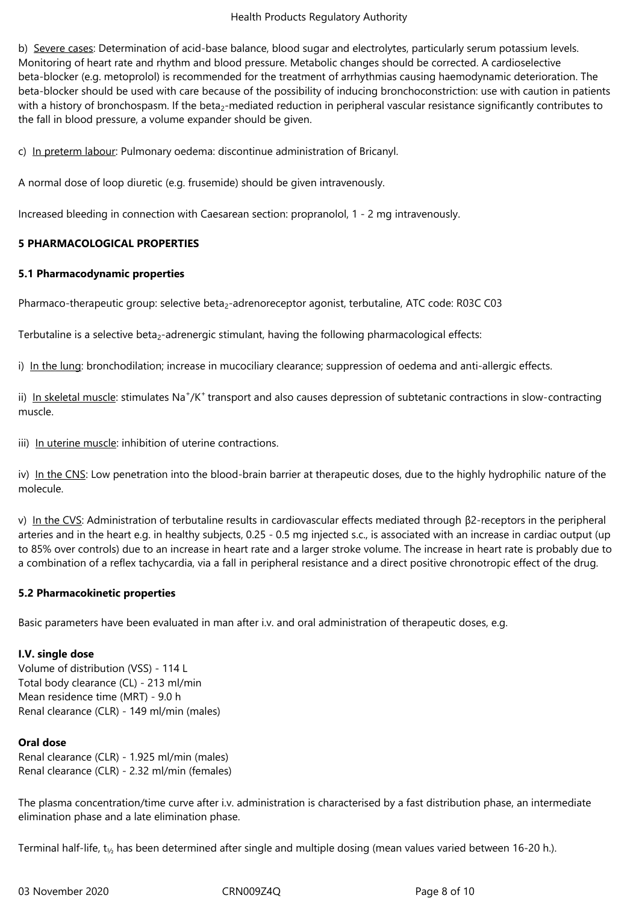#### Health Products Regulatory Authority

b) Severe cases: Determination of acid-base balance, blood sugar and electrolytes, particularly serum potassium levels. Monitoring of heart rate and rhythm and blood pressure. Metabolic changes should be corrected. A cardioselective beta-blocker (e.g. metoprolol) is recommended for the treatment of arrhythmias causing haemodynamic deterioration. The beta-blocker should be used with care because of the possibility of inducing bronchoconstriction: use with caution in patients with a history of bronchospasm. If the beta<sub>2</sub>-mediated reduction in peripheral vascular resistance significantly contributes to the fall in blood pressure, a volume expander should be given.

c) In preterm labour: Pulmonary oedema: discontinue administration of Bricanyl.

A normal dose of loop diuretic (e.g. frusemide) should be given intravenously.

Increased bleeding in connection with Caesarean section: propranolol, 1 - 2 mg intravenously.

# **5 PHARMACOLOGICAL PROPERTIES**

# **5.1 Pharmacodynamic properties**

Pharmaco-therapeutic group: selective beta<sub>2</sub>-adrenoreceptor agonist, terbutaline, ATC code: R03C C03

Terbutaline is a selective beta $_2$ -adrenergic stimulant, having the following pharmacological effects:

i) In the lung: bronchodilation; increase in mucociliary clearance; suppression of oedema and anti-allergic effects.

ii) In skeletal muscle: stimulates Na<sup>+</sup>/K<sup>+</sup> transport and also causes depression of subtetanic contractions in slow-contracting muscle.

iii) In uterine muscle: inhibition of uterine contractions.

iv) In the CNS: Low penetration into the blood-brain barrier at therapeutic doses, due to the highly hydrophilic nature of the molecule.

v) In the CVS: Administration of terbutaline results in cardiovascular effects mediated through β2‑receptors in the peripheral arteries and in the heart e.g. in healthy subjects, 0.25 - 0.5 mg injected s.c., is associated with an increase in cardiac output (up to 85% over controls) due to an increase in heart rate and a larger stroke volume. The increase in heart rate is probably due to a combination of a reflex tachycardia, via a fall in peripheral resistance and a direct positive chronotropic effect of the drug.

# **5.2 Pharmacokinetic properties**

Basic parameters have been evaluated in man after i.v. and oral administration of therapeutic doses, e.g.

# **I.V. single dose**

Volume of distribution (VSS) - 114 L Total body clearance (CL) - 213 ml/min Mean residence time (MRT) - 9.0 h Renal clearance (CLR) - 149 ml/min (males)

# **Oral dose**

Renal clearance (CLR) - 1.925 ml/min (males) Renal clearance (CLR) - 2.32 ml/min (females)

The plasma concentration/time curve after i.v. administration is characterised by a fast distribution phase, an intermediate elimination phase and a late elimination phase.

Terminal half-life,  $t_{1/2}$  has been determined after single and multiple dosing (mean values varied between 16-20 h.).

03 November 2020 **CRN009Z4Q** Page 8 of 10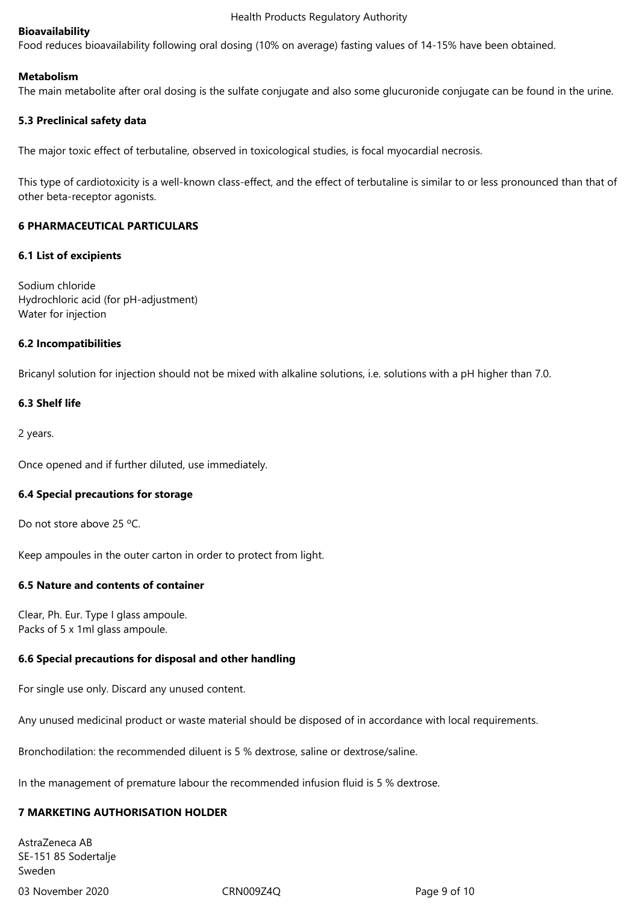#### **Bioavailability**

Food reduces bioavailability following oral dosing (10% on average) fasting values of 14-15% have been obtained.

#### **Metabolism**

The main metabolite after oral dosing is the sulfate conjugate and also some glucuronide conjugate can be found in the urine.

#### **5.3 Preclinical safety data**

The major toxic effect of terbutaline, observed in toxicological studies, is focal myocardial necrosis.

This type of cardiotoxicity is a well-known class-effect, and the effect of terbutaline is similar to or less pronounced than that of other beta-receptor agonists.

# **6 PHARMACEUTICAL PARTICULARS**

#### **6.1 List of excipients**

Sodium chloride Hydrochloric acid (for pH-adjustment) Water for injection

#### **6.2 Incompatibilities**

Bricanyl solution for injection should not be mixed with alkaline solutions, i.e. solutions with a pH higher than 7.0.

# **6.3 Shelf life**

2 years.

Once opened and if further diluted, use immediately.

#### **6.4 Special precautions for storage**

Do not store above 25 ºC.

Keep ampoules in the outer carton in order to protect from light.

# **6.5 Nature and contents of container**

Clear, Ph. Eur. Type I glass ampoule. Packs of 5 x 1ml glass ampoule.

# **6.6 Special precautions for disposal and other handling**

For single use only. Discard any unused content.

Any unused medicinal product or waste material should be disposed of in accordance with local requirements.

Bronchodilation: the recommended diluent is 5 % dextrose, saline or dextrose/saline.

In the management of premature labour the recommended infusion fluid is 5 % dextrose.

#### **7 MARKETING AUTHORISATION HOLDER**

03 November 2020 **CRN009Z4Q** Page 9 of 10 AstraZeneca AB SE-151 85 Sodertalje Sweden